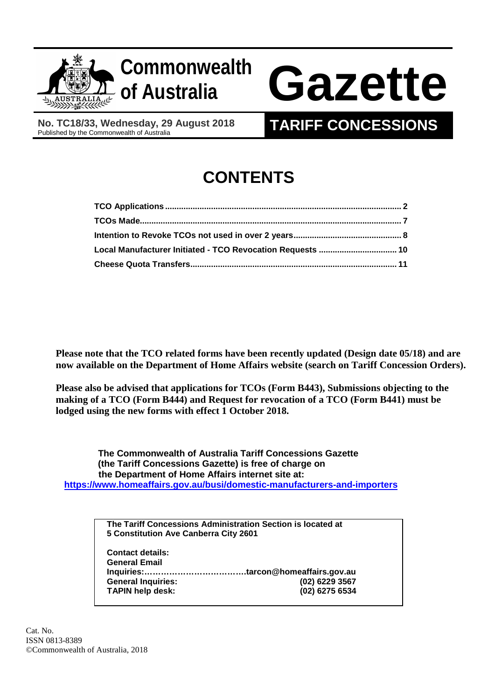

# **of Australia Gazette**

**No. TC18/33, Wednesday, 29 August 2018**

# **TARIFF CONCESSIONS**

# **CONTENTS**

| Local Manufacturer Initiated - TCO Revocation Requests  10 |  |
|------------------------------------------------------------|--|
|                                                            |  |

**Please note that the TCO related forms have been recently updated (Design date 05/18) and are now available on the Department of Home Affairs website (search on Tariff Concession Orders).**

**Please also be advised that applications for TCOs (Form B443), Submissions objecting to the making of a TCO (Form B444) and Request for revocation of a TCO (Form B441) must be lodged using the new forms with effect 1 October 2018.**

 **The Commonwealth of Australia Tariff Concessions Gazette (the Tariff Concessions Gazette) is free of charge on the Department of Home Affairs internet site at: <https://www.homeaffairs.gov.au/busi/domestic-manufacturers-and-importers>**

> **The Tariff Concessions Administration Section is located at 5 Constitution Ave Canberra City 2601**

**Contact details: General Email Inquiries:……………………………….tarcon@homeaffairs.gov.au General Inquiries: (02) 6229 3567 TAPIN help desk:**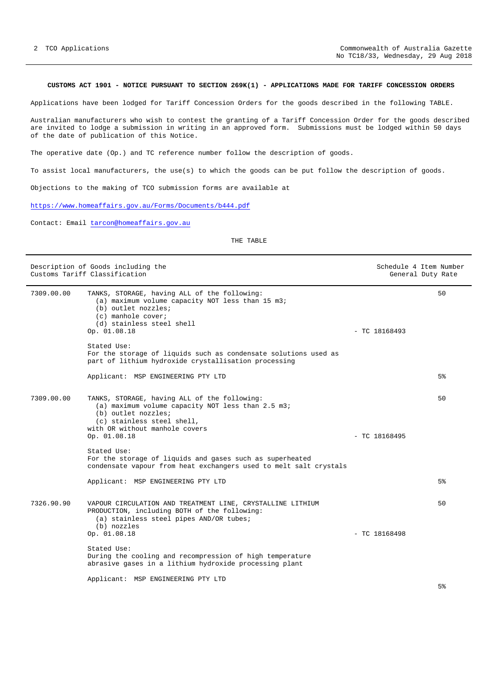# <span id="page-1-0"></span>**CUSTOMS ACT 1901 - NOTICE PURSUANT TO SECTION 269K(1) - APPLICATIONS MADE FOR TARIFF CONCESSION ORDERS**

Applications have been lodged for Tariff Concession Orders for the goods described in the following TABLE.

Australian manufacturers who wish to contest the granting of a Tariff Concession Order for the goods described are invited to lodge a submission in writing in an approved form. Submissions must be lodged within 50 days of the date of publication of this Notice.

The operative date (Op.) and TC reference number follow the description of goods.

To assist local manufacturers, the use(s) to which the goods can be put follow the description of goods.

Objections to the making of TCO submission forms are available at

<https://www.homeaffairs.gov.au/Forms/Documents/b444.pdf>

Contact: Email [tarcon@homeaffairs.gov.au](mailto:tarcon@homeaffairs.gov.au)

| Description of Goods including the<br>Customs Tariff Classification |                                                                                                                                                                                                          | Schedule 4 Item Number<br>General Duty Rate |                |
|---------------------------------------------------------------------|----------------------------------------------------------------------------------------------------------------------------------------------------------------------------------------------------------|---------------------------------------------|----------------|
| 7309.00.00                                                          | TANKS, STORAGE, having ALL of the following:<br>(a) maximum volume capacity NOT less than 15 m3;<br>(b) outlet nozzles;<br>(c) manhole cover;<br>(d) stainless steel shell<br>Op. 01.08.18               | $-$ TC 18168493                             | 50             |
|                                                                     | Stated Use:<br>For the storage of liquids such as condensate solutions used as<br>part of lithium hydroxide crystallisation processing                                                                   |                                             |                |
|                                                                     | Applicant: MSP ENGINEERING PTY LTD                                                                                                                                                                       |                                             | 5%             |
| 7309.00.00                                                          | TANKS, STORAGE, having ALL of the following:<br>(a) maximum volume capacity NOT less than 2.5 m3;<br>(b) outlet nozzles;<br>(c) stainless steel shell,<br>with OR without manhole covers<br>Op. 01.08.18 | $-$ TC 18168495                             | 50             |
|                                                                     | Stated Use:<br>For the storage of liquids and gases such as superheated<br>condensate vapour from heat exchangers used to melt salt crystals                                                             |                                             |                |
|                                                                     | Applicant: MSP ENGINEERING PTY LTD                                                                                                                                                                       |                                             | 5 <sup>8</sup> |
| 7326.90.90                                                          | VAPOUR CIRCULATION AND TREATMENT LINE, CRYSTALLINE LITHIUM<br>PRODUCTION, including BOTH of the following:<br>(a) stainless steel pipes AND/OR tubes;<br>(b) nozzles<br>Op. 01.08.18                     | $-$ TC 18168498                             | 50             |
|                                                                     | Stated Use:<br>During the cooling and recompression of high temperature<br>abrasive gases in a lithium hydroxide processing plant                                                                        |                                             |                |
|                                                                     | Applicant: MSP ENGINEERING PTY LTD                                                                                                                                                                       |                                             |                |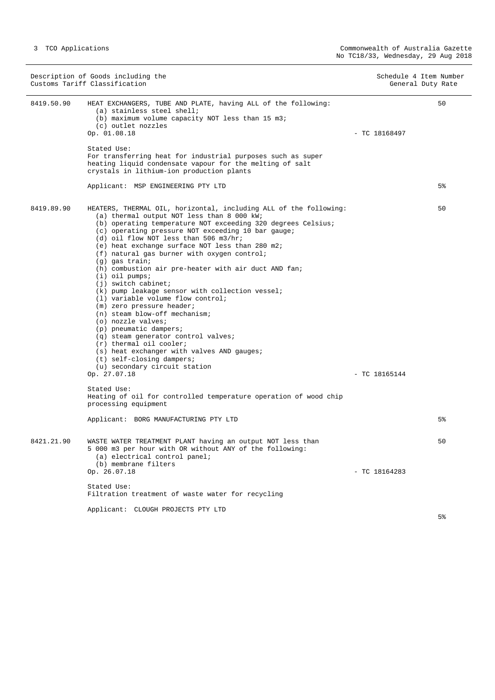|            | Description of Goods including the<br>Customs Tariff Classification                                                                                                                                                                                                                                                                                                                                                                                                                                                                                                                                                                                                                                                                                                                                                                                                                                                                                                                                                                                                     |                 | Schedule 4 Item Number<br>General Duty Rate |
|------------|-------------------------------------------------------------------------------------------------------------------------------------------------------------------------------------------------------------------------------------------------------------------------------------------------------------------------------------------------------------------------------------------------------------------------------------------------------------------------------------------------------------------------------------------------------------------------------------------------------------------------------------------------------------------------------------------------------------------------------------------------------------------------------------------------------------------------------------------------------------------------------------------------------------------------------------------------------------------------------------------------------------------------------------------------------------------------|-----------------|---------------------------------------------|
| 8419.50.90 | HEAT EXCHANGERS, TUBE AND PLATE, having ALL of the following:<br>(a) stainless steel shell;<br>(b) maximum volume capacity NOT less than 15 m3;<br>(c) outlet nozzles<br>Op. 01.08.18                                                                                                                                                                                                                                                                                                                                                                                                                                                                                                                                                                                                                                                                                                                                                                                                                                                                                   | $-$ TC 18168497 | 50                                          |
|            | Stated Use:<br>For transferring heat for industrial purposes such as super<br>heating liquid condensate vapour for the melting of salt<br>crystals in lithium-ion production plants                                                                                                                                                                                                                                                                                                                                                                                                                                                                                                                                                                                                                                                                                                                                                                                                                                                                                     |                 |                                             |
|            | Applicant: MSP ENGINEERING PTY LTD                                                                                                                                                                                                                                                                                                                                                                                                                                                                                                                                                                                                                                                                                                                                                                                                                                                                                                                                                                                                                                      |                 | 5%                                          |
| 8419.89.90 | HEATERS, THERMAL OIL, horizontal, including ALL of the following:<br>(a) thermal output NOT less than 8 000 kW;<br>(b) operating temperature NOT exceeding 320 degrees Celsius;<br>(c) operating pressure NOT exceeding 10 bar gauge;<br>$(d)$ oil flow NOT less than 506 m3/hr;<br>(e) heat exchange surface NOT less than 280 m2;<br>(f) natural gas burner with oxygen control;<br>$(q)$ gas train;<br>(h) combustion air pre-heater with air duct AND fan;<br>$(i)$ oil pumps;<br>$(j)$ switch cabinet;<br>(k) pump leakage sensor with collection vessel;<br>(1) variable volume flow control;<br>(m) zero pressure header;<br>(n) steam blow-off mechanism;<br>(o) nozzle valves;<br>(p) pneumatic dampers;<br>(q) steam generator control valves;<br>$(r)$ thermal oil cooler;<br>(s) heat exchanger with valves AND gauges;<br>$(t)$ self-closing dampers;<br>(u) secondary circuit station<br>Op. 27.07.18<br>Stated Use:<br>Heating of oil for controlled temperature operation of wood chip<br>processing equipment<br>Applicant: BORG MANUFACTURING PTY LTD | $-$ TC 18165144 | 50<br>5%                                    |
|            |                                                                                                                                                                                                                                                                                                                                                                                                                                                                                                                                                                                                                                                                                                                                                                                                                                                                                                                                                                                                                                                                         |                 |                                             |
| 8421.21.90 | WASTE WATER TREATMENT PLANT having an output NOT less than<br>5 000 m3 per hour with OR without ANY of the following:<br>(a) electrical control panel;<br>(b) membrane filters<br>Op. 26.07.18                                                                                                                                                                                                                                                                                                                                                                                                                                                                                                                                                                                                                                                                                                                                                                                                                                                                          | $-$ TC 18164283 | 50                                          |
|            | Stated Use:<br>Filtration treatment of waste water for recycling                                                                                                                                                                                                                                                                                                                                                                                                                                                                                                                                                                                                                                                                                                                                                                                                                                                                                                                                                                                                        |                 |                                             |
|            | Applicant: CLOUGH PROJECTS PTY LTD                                                                                                                                                                                                                                                                                                                                                                                                                                                                                                                                                                                                                                                                                                                                                                                                                                                                                                                                                                                                                                      |                 |                                             |
|            |                                                                                                                                                                                                                                                                                                                                                                                                                                                                                                                                                                                                                                                                                                                                                                                                                                                                                                                                                                                                                                                                         |                 | 5%                                          |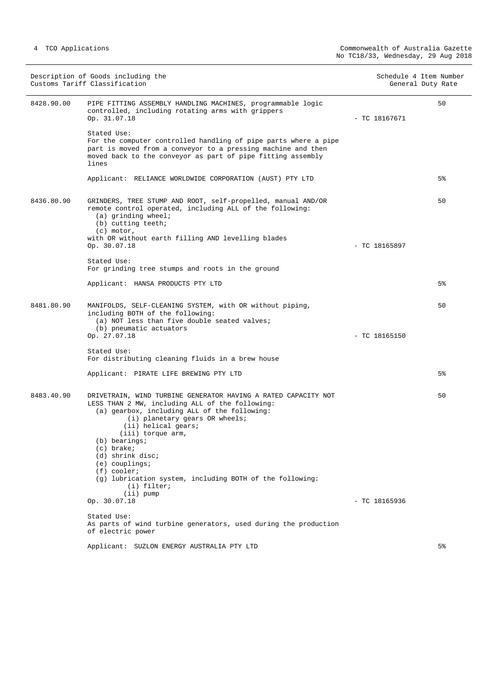| Description of Goods including the<br>Customs Tariff Classification |                                                                                                                                                                                                                        | Schedule 4 Item Number<br>General Duty Rate |    |
|---------------------------------------------------------------------|------------------------------------------------------------------------------------------------------------------------------------------------------------------------------------------------------------------------|---------------------------------------------|----|
| 8428.90.00                                                          | PIPE FITTING ASSEMBLY HANDLING MACHINES, programmable logic<br>controlled, including rotating arms with grippers<br>Op. 31.07.18                                                                                       | $-$ TC 18167671                             | 50 |
|                                                                     | Stated Use:<br>For the computer controlled handling of pipe parts where a pipe<br>part is moved from a conveyor to a pressing machine and then<br>moved back to the conveyor as part of pipe fitting assembly<br>lines |                                             |    |
|                                                                     | Applicant: RELIANCE WORLDWIDE CORPORATION (AUST) PTY LTD                                                                                                                                                               |                                             | 5% |
| 8436.80.90                                                          | GRINDERS, TREE STUMP AND ROOT, self-propelled, manual AND/OR<br>remote control operated, including ALL of the following:<br>$(a)$ grinding wheel;<br>(b) cutting teeth;<br>$(c)$ motor,                                |                                             | 50 |
|                                                                     | with OR without earth filling AND levelling blades<br>Op. 30.07.18                                                                                                                                                     | $-$ TC 18165897                             |    |
|                                                                     | Stated Use:<br>For grinding tree stumps and roots in the ground                                                                                                                                                        |                                             |    |
|                                                                     | Applicant: HANSA PRODUCTS PTY LTD                                                                                                                                                                                      |                                             | 5% |
| 8481.80.90                                                          | MANIFOLDS, SELF-CLEANING SYSTEM, with OR without piping,<br>including BOTH of the following:<br>(a) NOT less than five double seated valves;<br>(b) pneumatic actuators                                                |                                             | 50 |
|                                                                     | Op. 27.07.18                                                                                                                                                                                                           | $-$ TC 18165150                             |    |
|                                                                     | Stated Use:<br>For distributing cleaning fluids in a brew house                                                                                                                                                        |                                             |    |
|                                                                     | Applicant: PIRATE LIFE BREWING PTY LTD                                                                                                                                                                                 |                                             | 5% |
| 8483.40.90                                                          | DRIVETRAIN, WIND TURBINE GENERATOR HAVING A RATED CAPACITY NOT<br>LESS THAN 2 MW, including ALL of the following:<br>(a) gearbox, including ALL of the following:                                                      |                                             | 50 |
|                                                                     | (i) planetary gears OR wheels;<br>(ii) helical gears;<br>(iii) torque arm,                                                                                                                                             |                                             |    |
|                                                                     | $(b)$ bearings;<br>$(c)$ brake;<br>(d) shrink disc;                                                                                                                                                                    |                                             |    |
|                                                                     | $(e)$ couplings;<br>$(f)$ cooler;                                                                                                                                                                                      |                                             |    |
|                                                                     | (q) lubrication system, including BOTH of the following:<br>(i) filter;                                                                                                                                                |                                             |    |
|                                                                     | $(iii)$ pump<br>Op. 30.07.18                                                                                                                                                                                           | $-$ TC 18165936                             |    |
|                                                                     | Stated Use:                                                                                                                                                                                                            |                                             |    |
|                                                                     | As parts of wind turbine generators, used during the production<br>of electric power                                                                                                                                   |                                             |    |
|                                                                     | Applicant: SUZLON ENERGY AUSTRALIA PTY LTD                                                                                                                                                                             |                                             | 5% |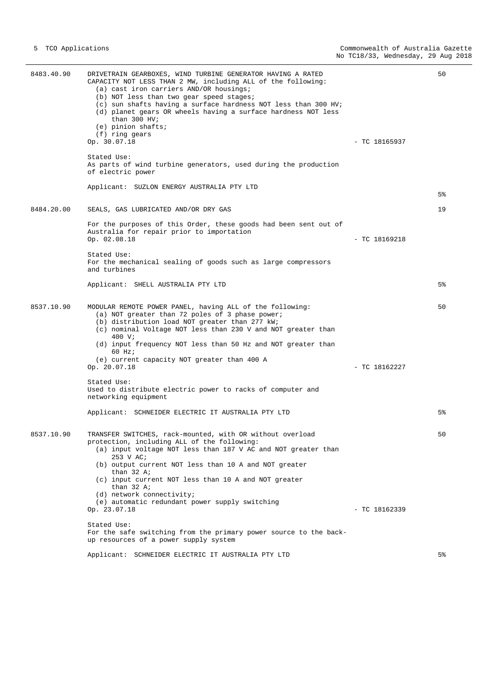8483.40.90 DRIVETRAIN GEARBOXES, WIND TURBINE GENERATOR HAVING A RATED CAPACITY NOT LESS THAN 2 MW, including ALL of the following: (a) cast iron carriers AND/OR housings; (b) NOT less than two gear speed stages; (c) sun shafts having a surface hardness NOT less than 300 HV; (d) planet gears OR wheels having a surface hardness NOT less than 300 HV; (e) pinion shafts; (f) ring gears Op. 30.07.18 - TC 18165937 Stated Use: As parts of wind turbine generators, used during the production of electric power Applicant: SUZLON ENERGY AUSTRALIA PTY LTD  $50$ 5% 8484.20.00 SEALS, GAS LUBRICATED AND/OR DRY GAS For the purposes of this Order, these goods had been sent out of Australia for repair prior to importation Op. 02.08.18 - TC 18169218 Stated Use: For the mechanical sealing of goods such as large compressors and turbines Applicant: SHELL AUSTRALIA PTY LTD 19 5% 8537.10.90 MODULAR REMOTE POWER PANEL, having ALL of the following: (a) NOT greater than 72 poles of 3 phase power; (b) distribution load NOT greater than 277 kW; (c) nominal Voltage NOT less than 230 V and NOT greater than 400 V; (d) input frequency NOT less than 50 Hz and NOT greater than 60 Hz; (e) current capacity NOT greater than 400 A  $-$  TC 18162227 Stated Use: Used to distribute electric power to racks of computer and networking equipment Applicant: SCHNEIDER ELECTRIC IT AUSTRALIA PTY LTD 50 5% 8537.10.90 TRANSFER SWITCHES, rack-mounted, with OR without overload protection, including ALL of the following: (a) input voltage NOT less than 187 V AC and NOT greater than 253 V AC; (b) output current NOT less than 10 A and NOT greater than 32 A; (c) input current NOT less than 10 A and NOT greater than  $32$  A; (d) network connectivity; (e) automatic redundant power supply switching Op. 23.07.18 - TC 18162339 Stated Use: For the safe switching from the primary power source to the backup resources of a power supply system Applicant: SCHNEIDER ELECTRIC IT AUSTRALIA PTY LTD 50 5%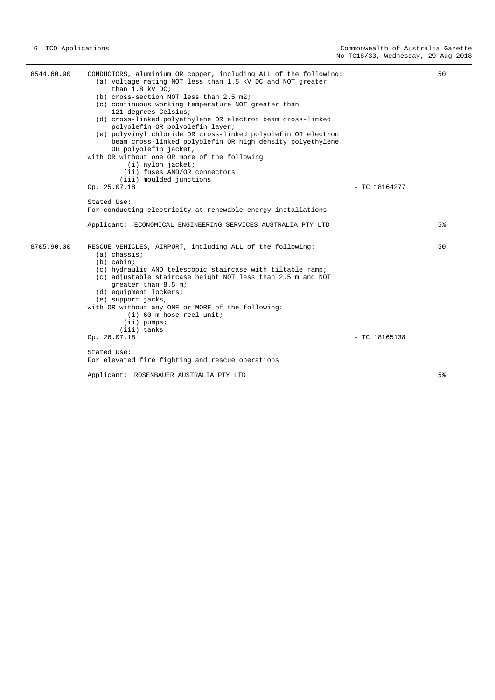| 8544.60.90 | CONDUCTORS, aluminium OR copper, including ALL of the following:<br>(a) voltage rating NOT less than 1.5 kV DC and NOT greater<br>than $1.8$ kV DC;<br>(b) cross-section NOT less than 2.5 m2;<br>(c) continuous working temperature NOT greater than<br>121 degrees Celsius;<br>(d) cross-linked polyethylene OR electron beam cross-linked<br>polyolefin OR polyolefin layer;<br>(e) polyvinyl chloride OR cross-linked polyolefin OR electron |                 | 50             |
|------------|--------------------------------------------------------------------------------------------------------------------------------------------------------------------------------------------------------------------------------------------------------------------------------------------------------------------------------------------------------------------------------------------------------------------------------------------------|-----------------|----------------|
|            | beam cross-linked polyolefin OR high density polyethylene<br>OR polyolefin jacket,<br>with OR without one OR more of the following:<br>(i) nylon jacket;<br>(ii) fuses AND/OR connectors;<br>(iii) moulded junctions<br>Op. 25.07.18                                                                                                                                                                                                             | $-$ TC 18164277 |                |
|            | Stated Use:<br>For conducting electricity at renewable energy installations                                                                                                                                                                                                                                                                                                                                                                      |                 |                |
|            | Applicant: ECONOMICAL ENGINEERING SERVICES AUSTRALIA PTY LTD                                                                                                                                                                                                                                                                                                                                                                                     |                 | 5%             |
| 8705.90.00 | RESCUE VEHICLES, AIRPORT, including ALL of the following:<br>$(a)$ chassis;<br>$(b)$ cabin;<br>(c) hydraulic AND telescopic staircase with tiltable ramp;<br>(c) adjustable staircase height NOT less than 2.5 m and NOT<br>greater than 8.5 m;<br>(d) equipment lockers;<br>(e) support jacks,<br>with OR without any ONE or MORE of the following:<br>$(i)$ 60 m hose reel unit;<br>$(i)$ pumps;<br>(iii) tanks                                |                 | 50             |
|            | Op. 26.07.18                                                                                                                                                                                                                                                                                                                                                                                                                                     | $-$ TC 18165138 |                |
|            | Stated Use:<br>For elevated fire fighting and rescue operations                                                                                                                                                                                                                                                                                                                                                                                  |                 |                |
|            | Applicant: ROSENBAUER AUSTRALIA PTY LTD                                                                                                                                                                                                                                                                                                                                                                                                          |                 | 5 <sup>°</sup> |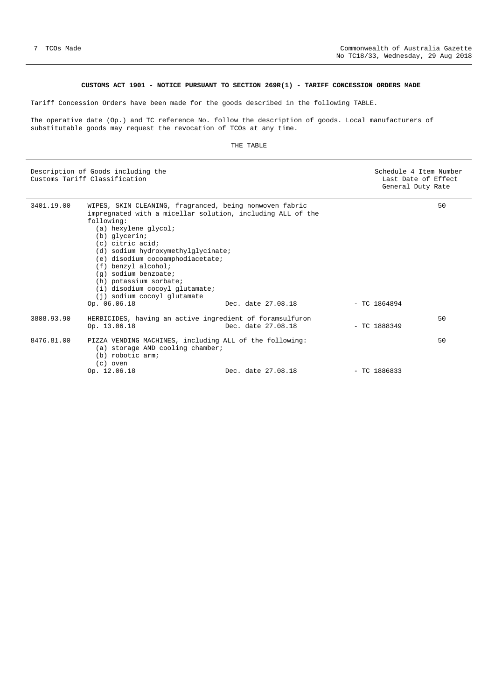# **CUSTOMS ACT 1901 - NOTICE PURSUANT TO SECTION 269R(1) - TARIFF CONCESSION ORDERS MADE**

<span id="page-6-0"></span>Tariff Concession Orders have been made for the goods described in the following TABLE.

The operative date (Op.) and TC reference No. follow the description of goods. Local manufacturers of substitutable goods may request the revocation of TCOs at any time.

| Description of Goods including the<br>Customs Tariff Classification |                                                                                                                                                                                                                                                                                                                                                                                                                                          |                    |                | Schedule 4 Item Number<br>Last Date of Effect<br>General Duty Rate |  |
|---------------------------------------------------------------------|------------------------------------------------------------------------------------------------------------------------------------------------------------------------------------------------------------------------------------------------------------------------------------------------------------------------------------------------------------------------------------------------------------------------------------------|--------------------|----------------|--------------------------------------------------------------------|--|
| 3401.19.00                                                          | WIPES, SKIN CLEANING, fragranced, being nonwoven fabric<br>impregnated with a micellar solution, including ALL of the<br>following:<br>(a) hexylene glycol;<br>(b) glycerin;<br>$(c)$ citric acid;<br>(d) sodium hydroxymethylglycinate;<br>(e) disodium cocoamphodiacetate;<br>$(f)$ benzyl alcohol;<br>(g) sodium benzoate;<br>(h) potassium sorbate;<br>(i) disodium cocoyl glutamate;<br>(j) sodium cocoyl glutamate<br>Op. 06.06.18 | Dec. date 27.08.18 | $-$ TC 1864894 | 50                                                                 |  |
| 3808.93.90                                                          | HERBICIDES, having an active ingredient of foramsulfuron<br>Op. 13.06.18                                                                                                                                                                                                                                                                                                                                                                 | Dec. date 27.08.18 | $-$ TC 1888349 | 50                                                                 |  |
| 8476.81.00                                                          | PIZZA VENDING MACHINES, including ALL of the following:<br>(a) storage AND cooling chamber;<br>(b) robotic arm;<br>$(c)$ oven<br>Op. 12.06.18                                                                                                                                                                                                                                                                                            | Dec. date 27.08.18 | $-$ TC 1886833 | 50                                                                 |  |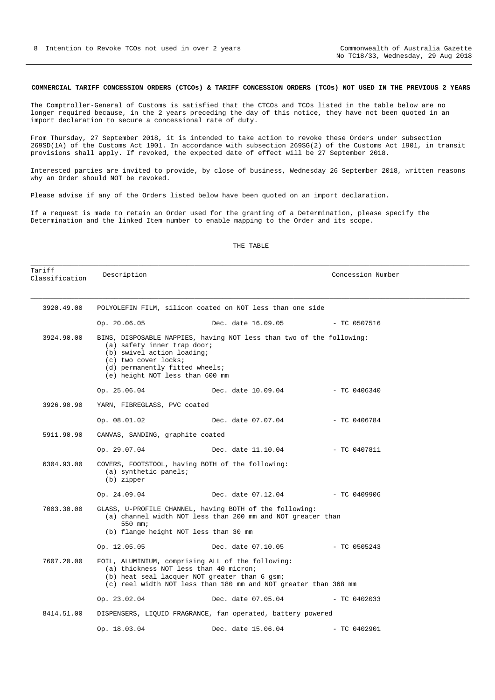## <span id="page-7-0"></span>**COMMERCIAL TARIFF CONCESSION ORDERS (CTCOs) & TARIFF CONCESSION ORDERS (TCOs) NOT USED IN THE PREVIOUS 2 YEARS**

The Comptroller-General of Customs is satisfied that the CTCOs and TCOs listed in the table below are no longer required because, in the 2 years preceding the day of this notice, they have not been quoted in an import declaration to secure a concessional rate of duty.

From Thursday, 27 September 2018, it is intended to take action to revoke these Orders under subsection 269SD(1A) of the Customs Act 1901. In accordance with subsection 269SG(2) of the Customs Act 1901, in transit provisions shall apply. If revoked, the expected date of effect will be 27 September 2018.

Interested parties are invited to provide, by close of business, Wednesday 26 September 2018, written reasons why an Order should NOT be revoked.

Please advise if any of the Orders listed below have been quoted on an import declaration.

If a request is made to retain an Order used for the granting of a Determination, please specify the Determination and the linked Item number to enable mapping to the Order and its scope.

#### THE TABLE

\_\_\_\_\_\_\_\_\_\_\_\_\_\_\_\_\_\_\_\_\_\_\_\_\_\_\_\_\_\_\_\_\_\_\_\_\_\_\_\_\_\_\_\_\_\_\_\_\_\_\_\_\_\_\_\_\_\_\_\_\_\_\_\_\_\_\_\_\_\_\_\_\_\_\_\_\_\_\_\_\_\_\_\_\_\_\_\_\_\_\_\_\_\_\_\_\_\_\_\_\_\_\_\_\_\_\_\_\_\_

| Tariff<br>Classification | Description                                                                                                                                            |                                                                                                                                                                                                                 | Concession Number |  |
|--------------------------|--------------------------------------------------------------------------------------------------------------------------------------------------------|-----------------------------------------------------------------------------------------------------------------------------------------------------------------------------------------------------------------|-------------------|--|
| 3920.49.00               |                                                                                                                                                        | POLYOLEFIN FILM, silicon coated on NOT less than one side                                                                                                                                                       |                   |  |
|                          | Op. 20.06.05                                                                                                                                           | Dec. date 16.09.05                                                                                                                                                                                              | $-$ TC 0507516    |  |
| 3924.90.00               | (a) safety inner trap door;<br>(b) swivel action loading;<br>(c) two cover locks;<br>(d) permanently fitted wheels;<br>(e) height NOT less than 600 mm | BINS, DISPOSABLE NAPPIES, having NOT less than two of the following:                                                                                                                                            |                   |  |
|                          | Op. 25.06.04                                                                                                                                           | Dec. date 10.09.04                                                                                                                                                                                              | $-$ TC 0406340    |  |
| 3926.90.90               | YARN, FIBREGLASS, PVC coated                                                                                                                           |                                                                                                                                                                                                                 |                   |  |
|                          | Op. 08.01.02                                                                                                                                           | Dec. date 07.07.04                                                                                                                                                                                              | $-$ TC 0406784    |  |
| 5911.90.90               | CANVAS, SANDING, graphite coated                                                                                                                       |                                                                                                                                                                                                                 |                   |  |
|                          | Op. 29.07.04                                                                                                                                           | Dec. date 11.10.04                                                                                                                                                                                              | $-$ TC 0407811    |  |
| 6304.93.00               | $(a)$ synthetic panels;<br>(b) zipper                                                                                                                  | COVERS, FOOTSTOOL, having BOTH of the following:                                                                                                                                                                |                   |  |
|                          | Op. 24.09.04                                                                                                                                           | Dec. date 07.12.04 - TC 0409906                                                                                                                                                                                 |                   |  |
| 7003.30.00               | 550 mm;                                                                                                                                                | GLASS, U-PROFILE CHANNEL, having BOTH of the following:<br>(a) channel width NOT less than 200 mm and NOT greater than<br>(b) flange height NOT less than 30 mm                                                 |                   |  |
|                          | Op. 12.05.05                                                                                                                                           | Dec. date 07.10.05                                                                                                                                                                                              | - TC 0505243      |  |
| 7607.20.00               |                                                                                                                                                        | FOIL, ALUMINIUM, comprising ALL of the following:<br>(a) thickness NOT less than 40 micron;<br>(b) heat seal lacquer NOT greater than 6 gsm;<br>(c) reel width NOT less than 180 mm and NOT greater than 368 mm |                   |  |
|                          | Op. 23.02.04                                                                                                                                           | Dec. date 07.05.04                                                                                                                                                                                              | $-$ TC 0402033    |  |
| 8414.51.00               |                                                                                                                                                        | DISPENSERS, LIQUID FRAGRANCE, fan operated, battery powered                                                                                                                                                     |                   |  |
|                          | Op. 18.03.04                                                                                                                                           | Dec. date 15.06.04                                                                                                                                                                                              | $-$ TC 0402901    |  |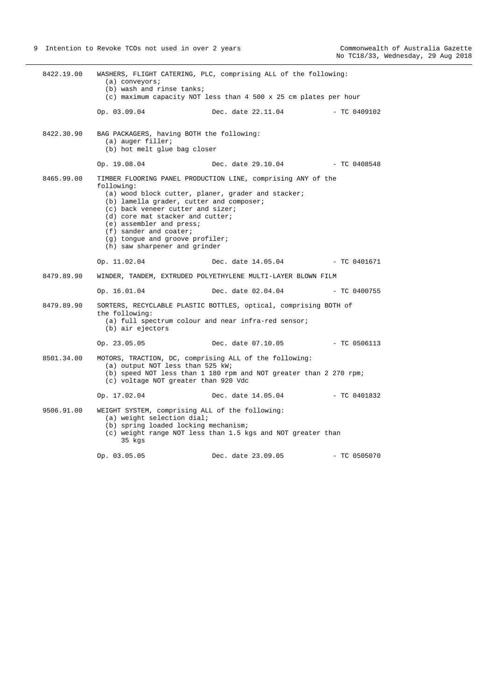8422.19.00 WASHERS, FLIGHT CATERING, PLC, comprising ALL of the following: (a) conveyors; (b) wash and rinse tanks; (c) maximum capacity NOT less than 4 500 x 25 cm plates per hour Op. 03.09.04 Dec. date 22.11.04 - TC 0409102 8422.30.90 BAG PACKAGERS, having BOTH the following: (a) auger filler; (b) hot melt glue bag closer Op. 19.08.04 Dec. date 29.10.04 - TC 0408548 8465.99.00 TIMBER FLOORING PANEL PRODUCTION LINE, comprising ANY of the following: (a) wood block cutter, planer, grader and stacker; (b) lamella grader, cutter and composer; (c) back veneer cutter and sizer; (d) core mat stacker and cutter; (e) assembler and press; (f) sander and coater; (g) tongue and groove profiler; (h) saw sharpener and grinder Op. 11.02.04 Dec. date 14.05.04 - TC 0401671 8479.89.90 WINDER, TANDEM, EXTRUDED POLYETHYLENE MULTI-LAYER BLOWN FILM Op. 16.01.04 Dec. date 02.04.04 - TC 0400755 8479.89.90 SORTERS, RECYCLABLE PLASTIC BOTTLES, optical, comprising BOTH of the following: (a) full spectrum colour and near infra-red sensor; (b) air ejectors Op. 23.05.05 Dec. date 07.10.05 - TC 0506113 8501.34.00 MOTORS, TRACTION, DC, comprising ALL of the following: (a) output NOT less than 525 kW; (b) speed NOT less than 1 180 rpm and NOT greater than 2 270 rpm; (c) voltage NOT greater than 920 Vdc Op. 17.02.04 Dec. date 14.05.04 - TC 0401832 9506.91.00 WEIGHT SYSTEM, comprising ALL of the following: (a) weight selection dial; (b) spring loaded locking mechanism; (c) weight range NOT less than 1.5 kgs and NOT greater than 35 kgs Op. 03.05.05 Dec. date 23.09.05 - TC 0505070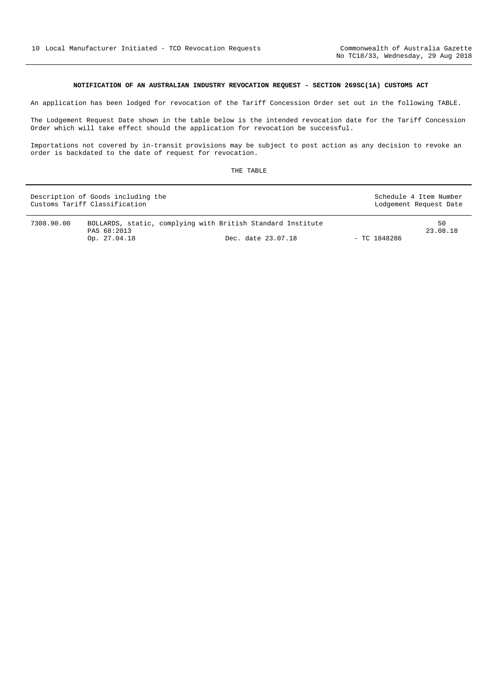# **NOTIFICATION OF AN AUSTRALIAN INDUSTRY REVOCATION REQUEST - SECTION 269SC(1A) CUSTOMS ACT**

<span id="page-9-0"></span>An application has been lodged for revocation of the Tariff Concession Order set out in the following TABLE.

The Lodgement Request Date shown in the table below is the intended revocation date for the Tariff Concession Order which will take effect should the application for revocation be successful.

Importations not covered by in-transit provisions may be subject to post action as any decision to revoke an order is backdated to the date of request for revocation.

| Description of Goods including the<br>Customs Tariff Classification |                                                                                            |                    | Schedule 4 Item Number<br>Lodgement Request Date |                |
|---------------------------------------------------------------------|--------------------------------------------------------------------------------------------|--------------------|--------------------------------------------------|----------------|
| 7308.90.00                                                          | BOLLARDS, static, complying with British Standard Institute<br>PAS 68:2013<br>Op. 27.04.18 | Dec. date 23.07.18 | $-$ TC 1848286                                   | 50<br>23.08.18 |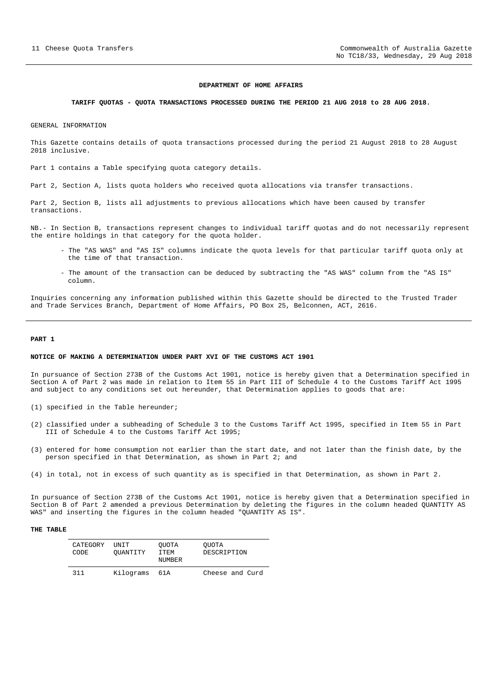#### **DEPARTMENT OF HOME AFFAIRS**

#### <span id="page-10-0"></span>**TARIFF QUOTAS - QUOTA TRANSACTIONS PROCESSED DURING THE PERIOD 21 AUG 2018 to 28 AUG 2018.**

GENERAL INFORMATION

This Gazette contains details of quota transactions processed during the period 21 August 2018 to 28 August 2018 inclusive.

Part 1 contains a Table specifying quota category details.

Part 2, Section A, lists quota holders who received quota allocations via transfer transactions.

Part 2, Section B, lists all adjustments to previous allocations which have been caused by transfer transactions.

NB.- In Section B, transactions represent changes to individual tariff quotas and do not necessarily represent the entire holdings in that category for the quota holder.

- The "AS WAS" and "AS IS" columns indicate the quota levels for that particular tariff quota only at the time of that transaction.
- The amount of the transaction can be deduced by subtracting the "AS WAS" column from the "AS IS" column.

Inquiries concerning any information published within this Gazette should be directed to the Trusted Trader and Trade Services Branch, Department of Home Affairs, PO Box 25, Belconnen, ACT, 2616.

#### **PART 1**

#### **NOTICE OF MAKING A DETERMINATION UNDER PART XVI OF THE CUSTOMS ACT 1901**

In pursuance of Section 273B of the Customs Act 1901, notice is hereby given that a Determination specified in Section A of Part 2 was made in relation to Item 55 in Part III of Schedule 4 to the Customs Tariff Act 1995 and subject to any conditions set out hereunder, that Determination applies to goods that are:

- (1) specified in the Table hereunder;
- (2) classified under a subheading of Schedule 3 to the Customs Tariff Act 1995, specified in Item 55 in Part III of Schedule 4 to the Customs Tariff Act 1995;
- (3) entered for home consumption not earlier than the start date, and not later than the finish date, by the person specified in that Determination, as shown in Part 2; and
- (4) in total, not in excess of such quantity as is specified in that Determination, as shown in Part 2.

In pursuance of Section 273B of the Customs Act 1901, notice is hereby given that a Determination specified in Section B of Part 2 amended a previous Determination by deleting the figures in the column headed QUANTITY AS WAS" and inserting the figures in the column headed "QUANTITY AS IS".

| CATEGORY<br><b>CODE</b> | UNIT<br>OUANTITY | OUOTA<br>ITEM<br>NUMBER | OUOTA<br>DESCRIPTION |
|-------------------------|------------------|-------------------------|----------------------|
| 311                     | Kilograms        | 61A                     | Cheese and Curd      |